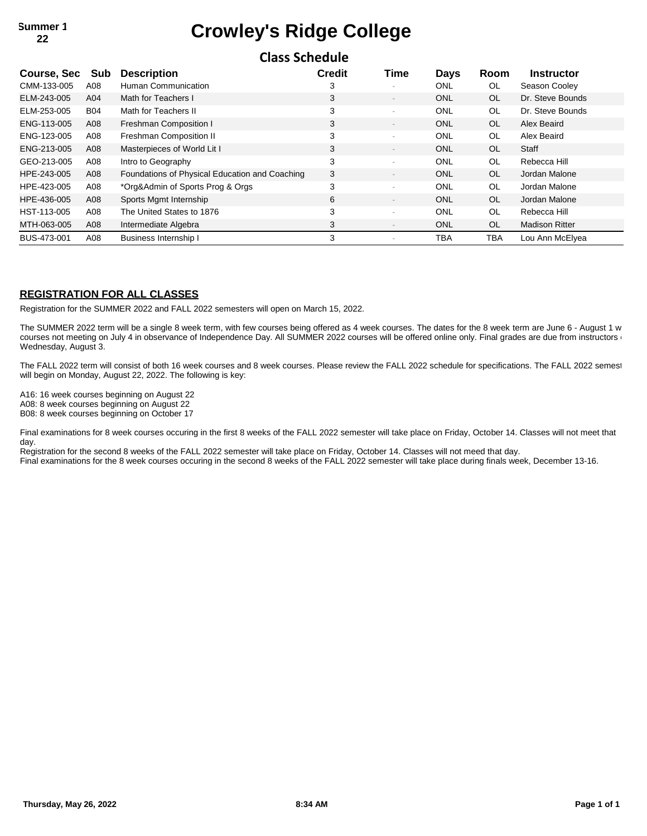## **22 Crowley's Ridge College**

**Class Schedule**

| Cidas Julieuule |            |                                                |               |                          |             |           |                       |  |  |  |  |
|-----------------|------------|------------------------------------------------|---------------|--------------------------|-------------|-----------|-----------------------|--|--|--|--|
| Course, Sec     | Sub        | <b>Description</b>                             | <b>Credit</b> | Time                     | <b>Days</b> | Room      | <b>Instructor</b>     |  |  |  |  |
| CMM-133-005     | A08        | Human Communication                            | 3             | $\overline{\phantom{a}}$ | ONL         | <b>OL</b> | Season Cooley         |  |  |  |  |
| ELM-243-005     | A04        | Math for Teachers I                            | 3             | $\overline{\phantom{a}}$ | <b>ONL</b>  | <b>OL</b> | Dr. Steve Bounds      |  |  |  |  |
| ELM-253-005     | <b>B04</b> | Math for Teachers II                           | 3             | $\overline{\phantom{a}}$ | <b>ONL</b>  | <b>OL</b> | Dr. Steve Bounds      |  |  |  |  |
| ENG-113-005     | A08        | Freshman Composition I                         | 3             | $\overline{\phantom{a}}$ | <b>ONL</b>  | <b>OL</b> | Alex Beaird           |  |  |  |  |
| ENG-123-005     | A08        | Freshman Composition II                        | 3             | $\overline{\phantom{a}}$ | <b>ONL</b>  | <b>OL</b> | Alex Beaird           |  |  |  |  |
| ENG-213-005     | A08        | Masterpieces of World Lit I                    | 3             | $\overline{\phantom{a}}$ | <b>ONL</b>  | <b>OL</b> | Staff                 |  |  |  |  |
| GEO-213-005     | A08        | Intro to Geography                             | 3             | $\sim$                   | <b>ONL</b>  | <b>OL</b> | Rebecca Hill          |  |  |  |  |
| HPE-243-005     | A08        | Foundations of Physical Education and Coaching | 3             | $\overline{\phantom{a}}$ | <b>ONL</b>  | <b>OL</b> | Jordan Malone         |  |  |  |  |
| HPE-423-005     | A08        | *Org&Admin of Sports Prog & Orgs               | 3             | $\overline{\phantom{a}}$ | <b>ONL</b>  | <b>OL</b> | Jordan Malone         |  |  |  |  |
| HPE-436-005     | A08        | Sports Mgmt Internship                         | 6             | $\overline{\phantom{a}}$ | <b>ONL</b>  | <b>OL</b> | Jordan Malone         |  |  |  |  |
| HST-113-005     | A08        | The United States to 1876                      | 3             | $\overline{\phantom{a}}$ | <b>ONL</b>  | <b>OL</b> | Rebecca Hill          |  |  |  |  |
| MTH-063-005     | A08        | Intermediate Algebra                           | 3             | $\overline{\phantom{a}}$ | <b>ONL</b>  | <b>OL</b> | <b>Madison Ritter</b> |  |  |  |  |
| BUS-473-001     | A08        | <b>Business Internship I</b>                   | 3             |                          | TBA         | TBA       | Lou Ann McElyea       |  |  |  |  |

### **REGISTRATION FOR ALL CLASSES**

Registration for the SUMMER 2022 and FALL 2022 semesters will open on March 15, 2022.

The SUMMER 2022 term will be a single 8 week term, with few courses being offered as 4 week courses. The dates for the 8 week term are June 6 - August 1 w courses not meeting on July 4 in observance of Independence Day. All SUMMER 2022 courses will be offered online only. Final grades are due from instructors on Wednesday, August 3.

The FALL 2022 term will consist of both 16 week courses and 8 week courses. Please review the FALL 2022 schedule for specifications. The FALL 2022 semest will begin on Monday, August 22, 2022. The following is key:

A16: 16 week courses beginning on August 22

A08: 8 week courses beginning on August 22

B08: 8 week courses beginning on October 17

Final examinations for 8 week courses occuring in the first 8 weeks of the FALL 2022 semester will take place on Friday, October 14. Classes will not meet that day.

Registration for the second 8 weeks of the FALL 2022 semester will take place on Friday, October 14. Classes will not meed that day. Final examinations for the 8 week courses occuring in the second 8 weeks of the FALL 2022 semester will take place during finals week, December 13-16.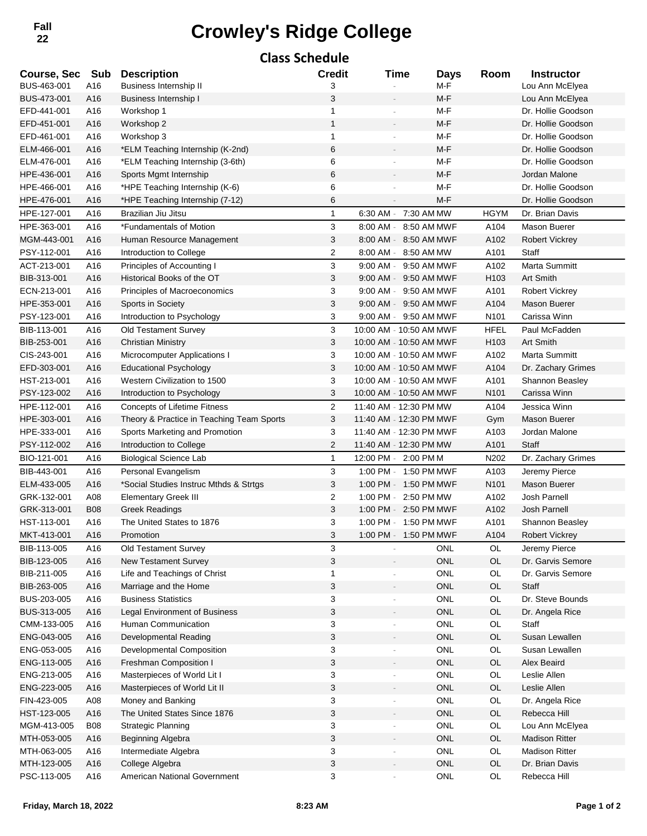# **<sup>22</sup> Crowley's Ridge College Fall**

### **Class Schedule Course, Sec Sub Description Credit Time Days Room Instructor** BUS-463-001 A16 Business Internship II 3 3 - M-F Lou Ann McElyea BUS-473-001 A16 Business Internship I 3 3 M-F M-F Lou Ann McElyea EFD-441-001 A16 Workshop 1 1 - M-F Dr. Hollie Goodson EFD-451-001 A16 Workshop 2 1 - M-F Dr. Hollie Goodson EFD-461-001 A16 Workshop 3 1 - M-F Dr. Hollie Goodson ELM-466-001 A16 \*ELM Teaching Internship (K-2nd) 6 6 M-F M-F Dr. Hollie Goodson ELM-476-001 A16 \*ELM Teaching Internship (3-6th) 6 6 - M-F M-F Dr. Hollie Goodson HPE-436-001 A16 Sports Mgmt Internship 6 - M-F Jordan Malone HPE-466-001 A16 \*HPE Teaching Internship (K-6) 6 6 M-F M-F Dr. Hollie Goodson HPE-476-001 A16 \*HPE Teaching Internship (7-12) 6 6 M-F M-F Dr. Hollie Goodson HPE-127-001 A16 Brazilian Jiu Jitsu 1 6:30 AM - 7:30 AM MW HGYM Dr. Brian Davis HPE-363-001 A16 \*Fundamentals of Motion 3 8:00 AM - 8:50 AM MWF A104 Mason Buerer MGM-443-001 A16 Human Resource Management 3 8:00 AM - 8:50 AM MWF A102 Robert Vickrey PSY-112-001 A16 Introduction to College 2 8:00 AM - 8:50 AM MW A101 Staff ACT-213-001 A16 Principles of Accounting I 3 3 9:00 AM - 9:50 AM MWF A102 Marta Summitt BIB-313-001 A16 Historical Books of the OT 3 9:00 AM - 9:50 AM MWF H103 Art Smith ECN-213-001 A16 Principles of Macroeconomics 3 9:00 AM - 9:50 AM MWF A101 Robert Vickrey HPE-353-001 A16 Sports in Society 3 9:00 AM - 9:50 AM MWF A104 Mason Buerer PSY-123-001 A16 Introduction to Psychology 1980 March 2008 March 2:50 AM MWF N101 Carissa Winn BIB-113-001 A16 Old Testament Survey 3 10:00 AM - 10:50 AM MWF HFEL Paul McFadden BIB-253-001 A16 Christian Ministry 3 10:00 AM - 10:50 AM MWF H103 Art Smith CIS-243-001 A16 Microcomputer Applications I 3 10:00 AM - 10:50 AM MWF A102 Marta Summitt EFD-303-001 A16 Educational Psychology 3 10:00 AM - 10:50 AM MWF A104 Dr. Zachary Grimes HST-213-001 A16 Western Civilization to 1500 3 10:00 AM - 10:50 AM MWF A101 Shannon Beasley PSY-123-002 A16 Introduction to Psychology 3 10:00 AM - 10:50 AM MWF N101 Carissa Winn HPE-112-001 A16 Concepts of Lifetime Fitness 2 11:40 AM - 12:30 PM MW A104 Jessica Winn HPE-303-001 A16 Theory & Practice in Teaching Team Sports 3 11:40 AM - 12:30 PM MWF Gym Mason Buerer HPE-333-001 A16 Sports Marketing and Promotion 3 11:40 AM - 12:30 PM MWF A103 Jordan Malone PSY-112-002 A16 Introduction to College 2 11:40 AM - 12:30 PM MW A101 Staff BIO-121-001 A16 Biological Science Lab 1 12:00 PM - 2:00 PM M - N202 Dr. Zachary Grimes BIB-443-001 A16 Personal Evangelism 3 1:00 PM - 1:50 PM MWF A103 Jeremy Pierce ELM-433-005 A16 \*Social Studies Instruc Mthds & Strtgs 3 1:00 PM - 1:50 PM MWF N101 Mason Buerer GRK-132-001 A08 Elementary Greek III 2 1:00 PM - 2:50 PM MW A102 Josh Parnell GRK-313-001 B08 Greek Readings 3 1:00 PM - 2:50 PM MWF A102 Josh Parnell HST-113-001 A16 The United States to 1876 March 2014 3 1:00 PM - 1:50 PM MWF A101 Shannon Beasley MKT-413-001 A16 Promotion 3 1:00 PM - 1:50 PM MWF A104 Robert Vickrey BIB-113-005 A16 Old Testament Survey and Subset of the Survey of the Survey of the Survey of the Survey of the Survey of the Survey of the Survey of the Survey of the OL Jeremy Pierce BIB-123-005 A16 New Testament Survey **3** 3 ONL OL Dr. Garvis Semore BIB-211-005 A16 Life and Teachings of Christ 1 1 - ONL OL Dr. Garvis Semore BIB-263-005 A16 Marriage and the Home 3 3 - ONL OL Staff BUS-203-005 A16 Business Statistics **3** 5 - ONL OL Dr. Steve Bounds BUS-313-005 A16 Legal Environment of Business 3 3 - ONL OL Dr. Angela Rice CMM-133-005 A16 Human Communication **3** 3 ONL OL Staff ENG-043-005 A16 Developmental Reading and a state of the state of the Susan Lewallen ENG-053-005 A16 Developmental Composition and a metal of 3 only only only only only Susan Lewallen ENG-113-005 A16 Freshman Composition I 3 3 - ONL OL Alex Beaird ENG-213-005 A16 Masterpieces of World Lit I 3 3 - ONL OL Leslie Allen ENG-223-005 A16 Masterpieces of World Lit II 3 3 - ONL OL Leslie Allen FIN-423-005 A08 Money and Banking and Santing 3 3 - ONL OL Dr. Angela Rice HST-123-005 A16 The United States Since 1876 3 3 - ONL OL Rebecca Hill MGM-413-005 B08 Strategic Planning **3** 3 ONL OL Lou Ann McElyea MTH-053-005 A16 Beginning Algebra 3 3 - ONL OL Madison Ritter MTH-063-005 A16 Intermediate Algebra 1 1 1 20 3 1 1 2 2 2 2 2 2 2 2 2 2 2 2 2 2 3 2 2 3 2 2 3 2 2 3 2 2 3 2 3 2 2 3 2 3 2 3 2 3 2 3 2 3 2 3 2 3 2 3 2 3 2 3 2 3 2 3 2 3 3 2 3 3 2 3 3 2 3 3 3 3 3 3 3 3 3 3 3 3 3 3 3 3 3 3 3 MTH-123-005 A16 College Algebra 3 - 3 - ONL OL Dr. Brian Davis PSC-113-005 A16 American National Government 3 3 - ONL OL Rebecca Hill